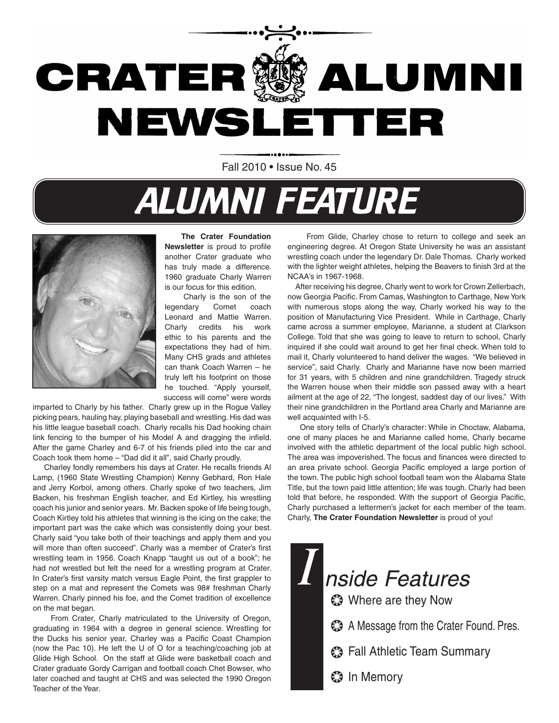

Fall 2010 • Issue No. 45

# **ALUMNI FEATURE**



 **The Crater Foundation Newsletter** is proud to profile another Crater graduate who has truly made a difference. 1960 graduate Charly Warren is our focus for this edition.

 Charly is the son of the legendary Comet coach Leonard and Mattie Warren. Charly credits his work ethic to his parents and the expectations they had of him. Many CHS grads and athletes can thank Coach Warren – he truly left his footprint on those he touched. "Apply yourself, success will come" were words

imparted to Charly by his father. Charly grew up in the Rogue Valley picking pears, hauling hay, playing baseball and wrestling. His dad was his little league baseball coach. Charly recalls his Dad hooking chain link fencing to the bumper of his Model A and dragging the infield. After the game Charley and 6-7 of his friends piled into the car and Coach took them home – "Dad did it all", said Charly proudly.

 Charley fondly remembers his days at Crater. He recalls friends Al Lamp, (1960 State Wrestling Champion) Kenny Gebhard, Ron Hale and Jerry Korbol, among others. Charly spoke of two teachers, Jim Backen, his freshman English teacher, and Ed Kirtley, his wrestling coach his junior and senior years. Mr. Backen spoke of life being tough, Coach Kirtley told his athletes that winning is the icing on the cake; the important part was the cake which was consistently doing your best. Charly said "you take both of their teachings and apply them and you will more than often succeed". Charly was a member of Crater's first wrestling team in 1956. Coach Knapp "taught us out of a book"; he had not wrestled but felt the need for a wrestling program at Crater. In Crater's first varsity match versus Eagle Point, the first grappler to step on a mat and represent the Comets was 98# freshman Charly Warren. Charly pinned his foe, and the Comet tradition of excellence on the mat began.

 From Crater, Charly matriculated to the University of Oregon, graduating in 1964 with a degree in general science. Wrestling for the Ducks his senior year, Charley was a Pacific Coast Champion (now the Pac 10). He left the U of O for a teaching/coaching job at Glide High School. On the staff at Glide were basketball coach and Crater graduate Gordy Carrigan and football coach Chet Bowser, who later coached and taught at CHS and was selected the 1990 Oregon Teacher of the Year.

 From Glide, Charley chose to return to college and seek an engineering degree. At Oregon State University he was an assistant wrestling coach under the legendary Dr. Dale Thomas. Charly worked with the lighter weight athletes, helping the Beavers to finish 3rd at the NCAA's in 1967-1968.

 After receiving his degree, Charly went to work for Crown Zellerbach, now Georgia Pacific. From Camas, Washington to Carthage, New York with numerous stops along the way, Charly worked his way to the position of Manufacturing Vice President. While in Carthage, Charly came across a summer employee, Marianne, a student at Clarkson College. Told that she was going to leave to return to school, Charly inquired if she could wait around to get her final check. When told to mail it, Charly volunteered to hand deliver the wages. "We believed in service", said Charly. Charly and Marianne have now been married for 31 years, with 5 children and nine grandchildren. Tragedy struck the Warren house when their middle son passed away with a heart ailment at the age of 22, "The longest, saddest day of our lives." With their nine grandchildren in the Portland area Charly and Marianne are well acquainted with I-5.

 One story tells of Charly's character: While in Choctaw, Alabama, one of many places he and Marianne called home, Charly became involved with the athletic department of the local public high school. The area was impoverished. The focus and finances were directed to an area private school. Georgia Pacific employed a large portion of the town. The public high school football team won the Alabama State Title, but the town paid little attention; life was tough. Charly had been told that before, he responded. With the support of Georgia Pacific, Charly purchased a lettermen's jacket for each member of the team. Charly, **The Crater Foundation Newsletter** is proud of you!

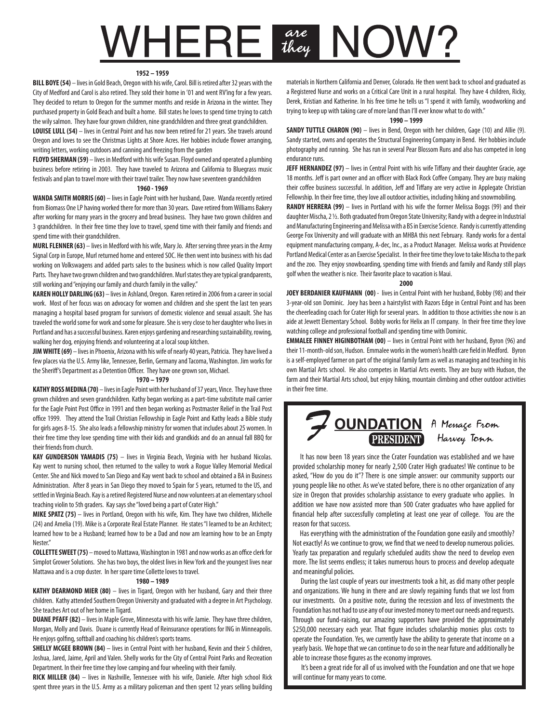# **WHERE are NOW?**

### **1952 – 1959**

**BILL BOYE (54)** – lives in Gold Beach, Oregon with his wife, Carol. Bill is retired after 32 years with the City of Medford and Carol is also retired. They sold their home in '01 and went RV'ing for a few years. They decided to return to Oregon for the summer months and reside in Arizona in the winter. They purchased property in Gold Beach and built a home. Bill states he loves to spend time trying to catch the wily salmon. They have four grown children, nine grandchildren and three great grandchildren.

**LOUISE LULL (54)** – lives in Central Point and has now been retired for 21 years. She travels around Oregon and loves to see the Christmas Lights at Shore Acres. Her hobbies include flower arranging, writing letters, working outdoors and canning and freezing from the garden

**FLOYD SHERMAN (59)** – lives in Medford with his wife Susan. Floyd owned and operated a plumbing business before retiring in 2003. They have traveled to Arizona and California to Bluegrass music festivals and plan to travel more with their travel trailer. They now have seventeen grandchildren

### **1960 - 1969**

**WANDA SMITH MORRIS (60)** – lives in Eagle Point with her husband, Dave. Wanda recently retired from Biomass One LP having worked there for more than 30 years. Dave retired from Williams Bakery after working for many years in the grocery and bread business. They have two grown children and 3 grandchildren. In their free time they love to travel, spend time with their family and friends and spend time with their grandchildren.

**MURL FLENNER (63)** – lives in Medford with his wife, Mary Jo. After serving three years in the Army Signal Corp in Europe, Murl returned home and entered SOC. He then went into business with his dad working on Volkswagens and added parts sales to the business which is now called Quality Import Parts. They have two grown children and two grandchildren. Murl states they are typical grandparents, still working and "enjoying our family and church family in the valley."

**KAREN HOLLY DARLING (63)** – lives in Ashland, Oregon. Karen retired in 2006 from a career in social work. Most of her focus was on advocacy for women and children and she spent the last ten years managing a hospital based program for survivors of domestic violence and sexual assault. She has traveled the world some for work and some for pleasure. She is very close to her daughter who lives in Portland and has a successful business. Karen enjoys gardening and researching sustainability, rowing, walking her dog, enjoying friends and volunteering at a local soup kitchen.

**JIM WHITE (69)** – lives in Phoenix, Arizona with his wife of nearly 40 years, Patricia. They have lived a few places via the U.S. Army like, Tennessee, Berlin, Germany and Tacoma, Washington. Jim works for the Sheriff's Department as a Detention Officer. They have one grown son, Michael.

#### **1970 – 1979**

**KATHY ROSS MEDINA (70)** – lives in Eagle Point with her husband of 37 years, Vince. They have three grown children and seven grandchildren. Kathy began working as a part-time substitute mail carrier for the Eagle Point Post Office in 1991 and then began working as Postmaster Relief in the Trail Post office 1999. They attend the Trail Christian Fellowship in Eagle Point and Kathy leads a Bible study for girls ages 8-15. She also leads a fellowship ministry for women that includes about 25 women. In their free time they love spending time with their kids and grandkids and do an annual fall BBQ for their friends from church.

**KAY GUNDERSON YAMADIS (75)** – lives in Virginia Beach, Virginia with her husband Nicolas. Kay went to nursing school, then returned to the valley to work a Rogue Valley Memorial Medical Center. She and Nick moved to San Diego and Kay went back to school and obtained a BA in Business Administration. After 8 years in San Diego they moved to Spain for 5 years, returned to the US, and settled in Virginia Beach. Kay is a retired Registered Nurse and now volunteers at an elementary school teaching violin to 5th graders. Kay says she "loved being a part of Crater High."

**MIKE SPATZ (75)** – lives in Portland, Oregon with his wife, Kim. They have two children, Michelle (24) and Amelia (19). Mike is a Corporate Real Estate Planner. He states "I learned to be an Architect; learned how to be a Husband; learned how to be a Dad and now am learning how to be an Empty Nester."

**COLLETTE SWEET (75)** – moved to Mattawa, Washington in 1981 and now works as an office clerk for Simplot Grower Solutions. She has two boys, the oldest lives in New York and the youngest lives near Mattawa and is a crop duster. In her spare time Collette loves to travel.

### **1980 – 1989**

**KATHY DEARMOND MIER (80)** – lives in Tigard, Oregon with her husband, Gary and their three children. Kathy attended Southern Oregon University and graduated with a degree in Art Psychology. She teaches Art out of her home in Tigard.

**DUANE PFAFF (82)** – lives in Maple Grove, Minnesota with his wife Jamie. They have three children, Morgan, Molly and Davis. Duane is currently Head of Reinsurance operations for ING in Minneapolis. He enjoys golfing, softball and coaching his children's sports teams.

**SHELLY MCGEE BROWN (84)** – lives in Central Point with her husband, Kevin and their 5 children, Joshua, Jared, Jaime, April and Valen. Shelly works for the City of Central Point Parks and Recreation Department. In their free time they love camping and four wheeling with their family.

**RICK MILLER (84)** – lives in Nashville, Tennessee with his wife, Daniele. After high school Rick spent three years in the U.S. Army as a military policeman and then spent 12 years selling building materials in Northern California and Denver, Colorado. He then went back to school and graduated as a Registered Nurse and works on a Critical Care Unit in a rural hospital. They have 4 children, Ricky, Derek, Kristian and Katherine. In his free time he tells us "I spend it with family, woodworking and trying to keep up with taking care of more land than I'll ever know what to do with."

#### **1990 – 1999**

**SANDY TUTTLE CHARON (90)** – lives in Bend, Oregon with her children, Gage (10) and Allie (9). Sandy started, owns and operates the Structural Engineering Company in Bend. Her hobbies include photography and running. She has run in several Pear Blossom Runs and also has competed in long endurance runs.

**JEFF HERNANDEZ (97)** – lives in Central Point with his wife Tiffany and their daughter Gracie, age 18 months. Jeff is part owner and an officer with Black Rock Coffee Company. They are busy making their coffee business successful. In addition, Jeff and Tiffany are very active in Applegate Christian Fellowship. In their free time, they love all outdoor activities, including hiking and snowmobiling.

**RANDY HERRERA (99)** – lives in Portland with his wife the former Melissa Boggs (99) and their daughter Mischa, 2 ½. Both graduated from Oregon State University; Randy with a degree in Industrial and Manufacturing Engineering and Melissa with a BS in Exercise Science. Randy is currently attending George Fox University and will graduate with an MHBA this next February. Randy works for a dental equipment manufacturing company, A-dec, Inc., as a Product Manager. Melissa works at Providence Portland Medical Center as an Exercise Specialist. In their free time they love to take Mischa to the park and the zoo. They enjoy snowboarding, spending time with friends and family and Randy still plays golf when the weather is nice. Their favorite place to vacation is Maui.

#### **2000**

**JOEY BERDANIER KAUFMANN (00)** - lives in Central Point with her husband, Bobby (98) and their 3-year-old son Dominic. Joey has been a hairstylist with Razors Edge in Central Point and has been the cheerleading coach for Crater High for several years. In addition to those activities she now is an aide at Jewett Elementary School. Bobby works for Helix an IT company. In their free time they love watching college and professional football and spending time with Dominic.

**EMMALEE FINNEY HIGINBOTHAM (00)** - lives in Central Point with her husband, Byron (96) and their 11-month-old son, Hudson. Emmalee works in the women's health care field in Medford. Byron is a self-employed farmer on part of the original family farm as well as managing and teaching in his own Martial Arts school. He also competes in Martial Arts events. They are busy with Hudson, the farm and their Martial Arts school, but enjoy hiking, mountain climbing and other outdoor activities in their free time.



 It has now been 18 years since the Crater Foundation was established and we have provided scholarship money for nearly 2,500 Crater High graduates! We continue to be asked, "How do you do it"? There is one simple answer: our community supports our young people like no other. As we've stated before, there is no other organization of any size in Oregon that provides scholarship assistance to every graduate who applies. In addition we have now assisted more than 500 Crater graduates who have applied for financial help after successfully completing at least one year of college. You are the reason for that success.

 Has everything with the administration of the Foundation gone easily and smoothly? Not exactly! As we continue to grow, we find that we need to develop numerous policies. Yearly tax preparation and regularly scheduled audits show the need to develop even more. The list seems endless; it takes numerous hours to process and develop adequate and meaningful policies.

 During the last couple of years our investments took a hit, as did many other people and organizations. We hung in there and are slowly regaining funds that we lost from our investments. On a positive note, during the recession and loss of investments the Foundation has not had to use any of our invested money to meet our needs and requests. Through our fund-raising, our amazing supporters have provided the approximately \$250,000 necessary each year. That figure includes scholarship monies plus costs to operate the Foundation. Yes, we currently have the ability to generate that income on a yearly basis. We hope that we can continue to do so in the near future and additionally be able to increase those figures as the economy improves.

 It's been a great ride for all of us involved with the Foundation and one that we hope will continue for many years to come.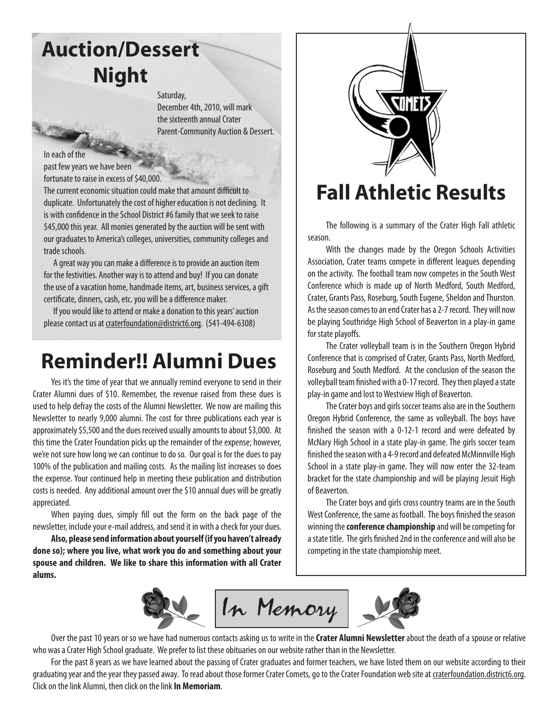# **Auction/Dessert Night**

Saturday, December 4th, 2010, will mark the sixteenth annual Crater Parent-Community Auction & Dessert.

In each of the past few years we have been fortunate to raise in excess of \$40,000.

The current economic situation could make that amount difficult to duplicate. Unfortunately the cost of higher education is not declining. It is with confidence in the School District #6 family that we seek to raise \$45,000 this year. All monies generated by the auction will be sent with our graduates to America's colleges, universities, community colleges and trade schools.

 A great way you can make a difference is to provide an auction item for the festivities. Another way is to attend and buy! If you can donate the use of a vacation home, handmade items, art, business services, a gift certificate, dinners, cash, etc. you will be a difference maker.

 If you would like to attend or make a donation to this years' auction please contact us at craterfoundation@district6.org. (541-494-6308)

# **Reminder!! Alumni Dues**

Yes it's the time of year that we annually remind everyone to send in their Crater Alumni dues of \$10. Remember, the revenue raised from these dues is used to help defray the costs of the Alumni Newsletter. We now are mailing this Newsletter to nearly 9,000 alumni. The cost for three publications each year is approximately \$5,500 and the dues received usually amounts to about \$3,000. At this time the Crater Foundation picks up the remainder of the expense; however, we're not sure how long we can continue to do so. Our goal is for the dues to pay 100% of the publication and mailing costs. As the mailing list increases so does the expense. Your continued help in meeting these publication and distribution costs is needed. Any additional amount over the \$10 annual dues will be greatly appreciated.

When paying dues, simply fill out the form on the back page of the newsletter, include your e-mail address, and send it in with a check for your dues.

**Also, please send information about yourself (if you haven't already done so); where you live, what work you do and something about your spouse and children. We like to share this information with all Crater alums.**



## **Fall Athletic Results**

The following is a summary of the Crater High Fall athletic season.

With the changes made by the Oregon Schools Activities Association, Crater teams compete in different leagues depending on the activity. The football team now competes in the South West Conference which is made up of North Medford, South Medford, Crater, Grants Pass, Roseburg, South Eugene, Sheldon and Thurston. As the season comes to an end Crater has a 2-7 record. They will now be playing Southridge High School of Beaverton in a play-in game for state playoffs.

The Crater volleyball team is in the Southern Oregon Hybrid Conference that is comprised of Crater, Grants Pass, North Medford, Roseburg and South Medford. At the conclusion of the season the volleyball team finished with a 0-17 record. They then played a state play-in game and lost to Westview High of Beaverton.

The Crater boys and girls soccer teams also are in the Southern Oregon Hybrid Conference, the same as volleyball. The boys have finished the season with a 0-12-1 record and were defeated by McNary High School in a state play-in game. The girls soccer team finished the season with a 4-9 record and defeated McMinnville High School in a state play-in game. They will now enter the 32-team bracket for the state championship and will be playing Jesuit High of Beaverton.

The Crater boys and girls cross country teams are in the South West Conference, the same as football. The boys finished the season winning the **conference championship** and will be competing for a state title. The girls finished 2nd in the conference and will also be competing in the state championship meet.



Over the past 10 years or so we have had numerous contacts asking us to write in the **Crater Alumni Newsletter** about the death of a spouse or relative who was a Crater High School graduate. We prefer to list these obituaries on our website rather than in the Newsletter.

For the past 8 years as we have learned about the passing of Crater graduates and former teachers, we have listed them on our website according to their graduating year and the year they passed away. To read about those former Crater Comets, go to the Crater Foundation web site at craterfoundation.district6.org. Click on the link Alumni, then click on the link **In Memoriam**.